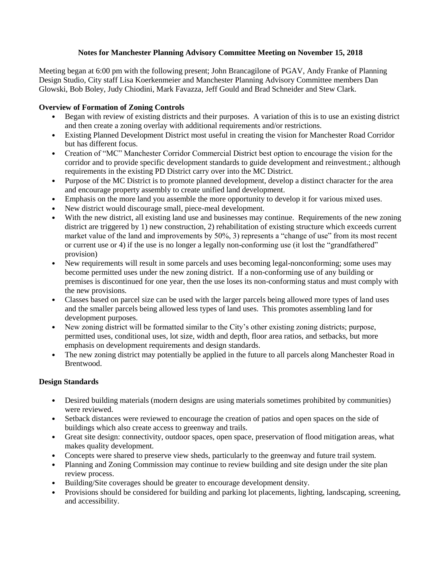## **Notes for Manchester Planning Advisory Committee Meeting on November 15, 2018**

Meeting began at 6:00 pm with the following present; John Brancagilone of PGAV, Andy Franke of Planning Design Studio, City staff Lisa Koerkenmeier and Manchester Planning Advisory Committee members Dan Glowski, Bob Boley, Judy Chiodini, Mark Favazza, Jeff Gould and Brad Schneider and Stew Clark.

## **Overview of Formation of Zoning Controls**

- Began with review of existing districts and their purposes. A variation of this is to use an existing district and then create a zoning overlay with additional requirements and/or restrictions.
- Existing Planned Development District most useful in creating the vision for Manchester Road Corridor but has different focus.
- Creation of "MC" Manchester Corridor Commercial District best option to encourage the vision for the corridor and to provide specific development standards to guide development and reinvestment.; although requirements in the existing PD District carry over into the MC District.
- Purpose of the MC District is to promote planned development, develop a distinct character for the area and encourage property assembly to create unified land development.
- Emphasis on the more land you assemble the more opportunity to develop it for various mixed uses.
- New district would discourage small, piece-meal development.
- With the new district, all existing land use and businesses may continue. Requirements of the new zoning district are triggered by 1) new construction, 2) rehabilitation of existing structure which exceeds current market value of the land and improvements by 50%, 3) represents a "change of use" from its most recent or current use or 4) if the use is no longer a legally non-conforming use (it lost the "grandfathered" provision)
- New requirements will result in some parcels and uses becoming legal-nonconforming; some uses may become permitted uses under the new zoning district. If a non-conforming use of any building or premises is discontinued for one year, then the use loses its non-conforming status and must comply with the new provisions.
- Classes based on parcel size can be used with the larger parcels being allowed more types of land uses and the smaller parcels being allowed less types of land uses. This promotes assembling land for development purposes.
- New zoning district will be formatted similar to the City's other existing zoning districts; purpose, permitted uses, conditional uses, lot size, width and depth, floor area ratios, and setbacks, but more emphasis on development requirements and design standards.
- The new zoning district may potentially be applied in the future to all parcels along Manchester Road in Brentwood.

## **Design Standards**

- Desired building materials (modern designs are using materials sometimes prohibited by communities) were reviewed.
- Setback distances were reviewed to encourage the creation of patios and open spaces on the side of buildings which also create access to greenway and trails.
- Great site design: connectivity, outdoor spaces, open space, preservation of flood mitigation areas, what makes quality development.
- Concepts were shared to preserve view sheds, particularly to the greenway and future trail system.
- Planning and Zoning Commission may continue to review building and site design under the site plan review process.
- Building/Site coverages should be greater to encourage development density.
- Provisions should be considered for building and parking lot placements, lighting, landscaping, screening, and accessibility.